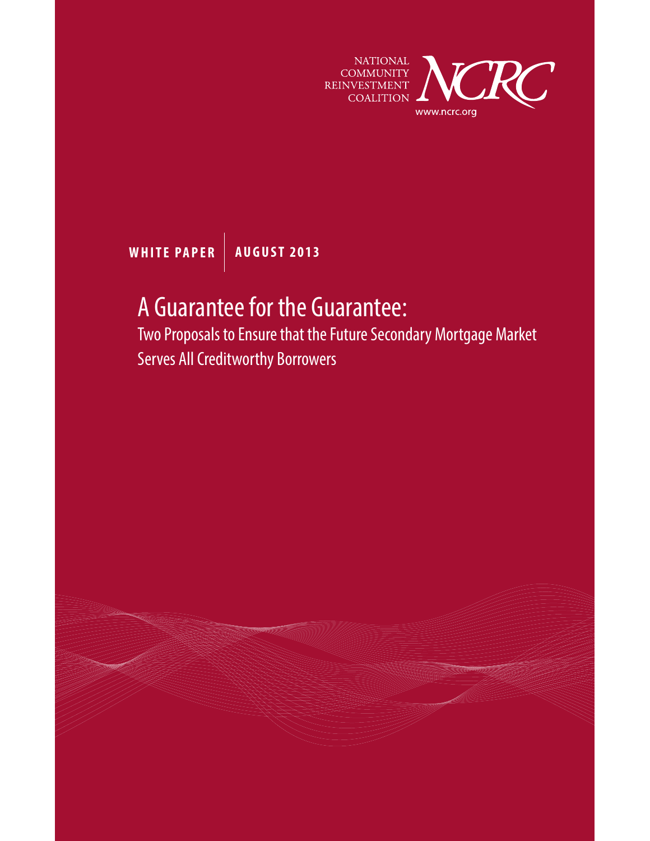

**WHITE PAPER AUGUST 2013**

# A Guarantee for the Guarantee:

Two Proposals to Ensure that the Future Secondary Mortgage Market Serves All Creditworthy Borrowers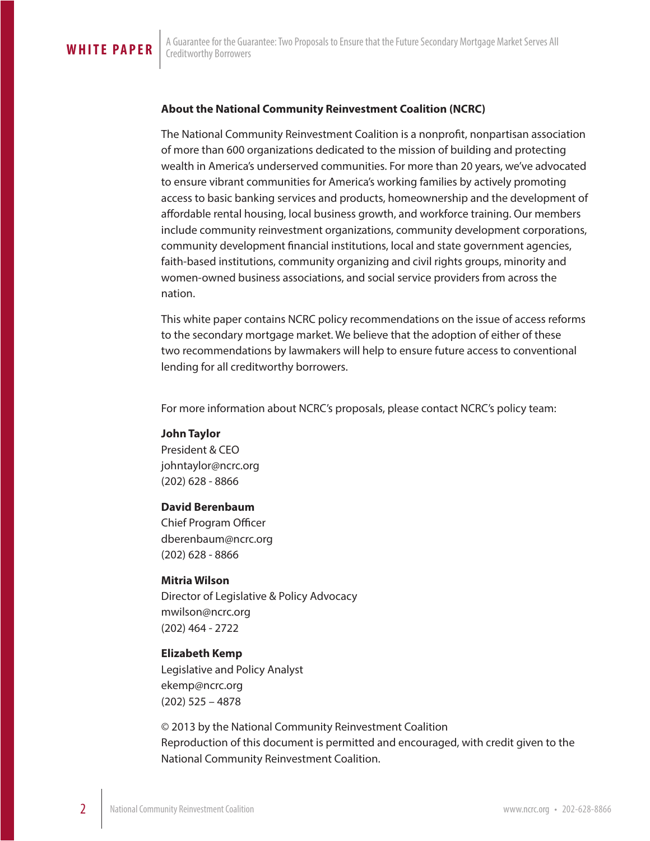### **About the National Community Reinvestment Coalition (NCRC)**

The National Community Reinvestment Coalition is a nonprofit, nonpartisan association of more than 600 organizations dedicated to the mission of building and protecting wealth in America's underserved communities. For more than 20 years, we've advocated to ensure vibrant communities for America's working families by actively promoting access to basic banking services and products, homeownership and the development of affordable rental housing, local business growth, and workforce training. Our members include community reinvestment organizations, community development corporations, community development financial institutions, local and state government agencies, faith-based institutions, community organizing and civil rights groups, minority and women-owned business associations, and social service providers from across the nation.

This white paper contains NCRC policy recommendations on the issue of access reforms to the secondary mortgage market. We believe that the adoption of either of these two recommendations by lawmakers will help to ensure future access to conventional lending for all creditworthy borrowers.

For more information about NCRC's proposals, please contact NCRC's policy team:

### **John Taylor**

President & CEO johntaylor@ncrc.org (202) 628 - 8866

### **David Berenbaum**

Chief Program Officer dberenbaum@ncrc.org (202) 628 - 8866

### **Mitria Wilson**

Director of Legislative & Policy Advocacy mwilson@ncrc.org (202) 464 - 2722

### **Elizabeth Kemp**

Legislative and Policy Analyst ekemp@ncrc.org (202) 525 – 4878

© 2013 by the National Community Reinvestment Coalition Reproduction of this document is permitted and encouraged, with credit given to the National Community Reinvestment Coalition.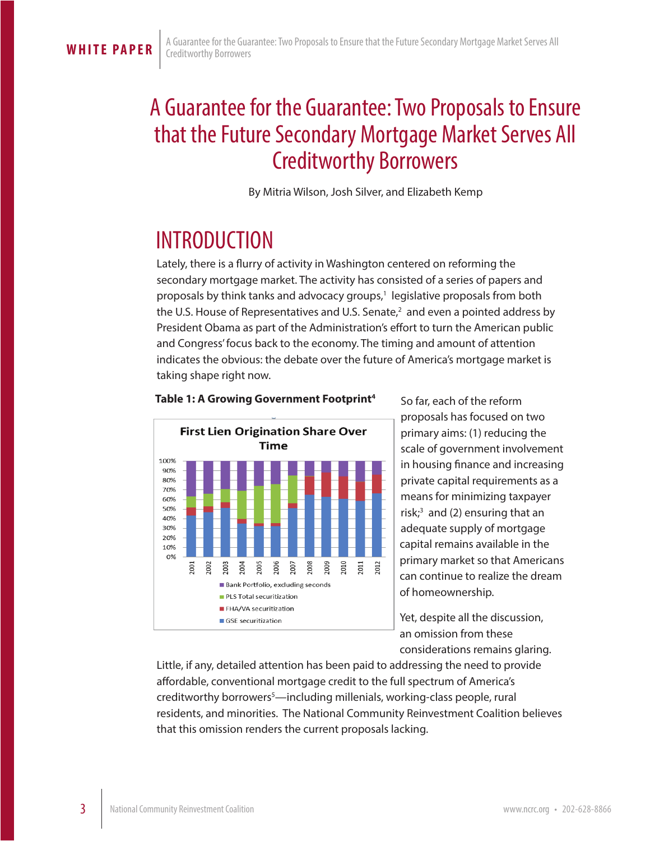## A Guarantee for the Guarantee: Two Proposals to Ensure that the Future Secondary Mortgage Market Serves All Creditworthy Borrowers

By Mitria Wilson, Josh Silver, and Elizabeth Kemp

## INTRODUCTION

Lately, there is a flurry of activity in Washington centered on reforming the secondary mortgage market. The activity has consisted of a series of papers and proposals by think tanks and advocacy groups,<sup>1</sup> legislative proposals from both the U.S. House of Representatives and U.S. Senate, $^2$  and even a pointed address by President Obama as part of the Administration's effort to turn the American public and Congress' focus back to the economy. The timing and amount of attention indicates the obvious: the debate over the future of America's mortgage market is taking shape right now.



### **Table 1: A Growing Government Footprint4**

So far, each of the reform proposals has focused on two primary aims: (1) reducing the scale of government involvement in housing finance and increasing private capital requirements as a means for minimizing taxpayer risk; $3$  and (2) ensuring that an adequate supply of mortgage capital remains available in the primary market so that Americans can continue to realize the dream of homeownership.

Yet, despite all the discussion, an omission from these considerations remains glaring.

Little, if any, detailed attention has been paid to addressing the need to provide affordable, conventional mortgage credit to the full spectrum of America's creditworthy borrowers<sup>5</sup>—including millenials, working-class people, rural residents, and minorities. The National Community Reinvestment Coalition believes that this omission renders the current proposals lacking.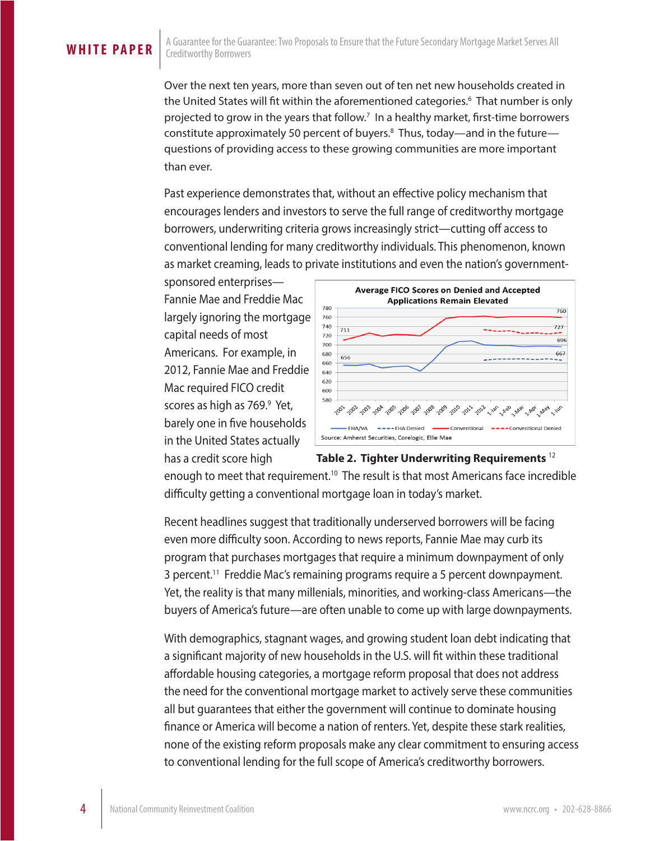Over the next ten years, more than seven out of ten net new households created in the United States will fit within the aforementioned categories.6 That number is only projected to grow in the years that follow.<sup>7</sup> In a healthy market, first-time borrowers constitute approximately 50 percent of buyers.8 Thus, today—and in the future questions of providing access to these growing communities are more important than ever.

Past experience demonstrates that, without an effective policy mechanism that encourages lenders and investors to serve the full range of creditworthy mortgage borrowers, underwriting criteria grows increasingly strict—cutting off access to conventional lending for many creditworthy individuals. This phenomenon, known as market creaming, leads to private institutions and even the nation's government-

sponsored enterprises— Fannie Mae and Freddie Mac largely ignoring the mortgage capital needs of most Americans. For example, in 2012, Fannie Mae and Freddie Mac required FICO credit scores as high as 769.<sup>9</sup> Yet, barely one in five households in the United States actually has a credit score high



enough to meet that requirement.<sup>10</sup> The result is that most Americans face incredible difficulty getting a conventional mortgage loan in today's market. **Table 2. Tighter Underwriting Requirements** <sup>12</sup>

Recent headlines suggest that traditionally underserved borrowers will be facing even more difficulty soon. According to news reports, Fannie Mae may curb its program that purchases mortgages that require a minimum downpayment of only 3 percent.<sup>11</sup> Freddie Mac's remaining programs require a 5 percent downpayment. Yet, the reality is that many millenials, minorities, and working-class Americans—the buyers of America's future—are often unable to come up with large downpayments.

With demographics, stagnant wages, and growing student loan debt indicating that a significant majority of new households in the U.S. will fit within these traditional affordable housing categories, a mortgage reform proposal that does not address the need for the conventional mortgage market to actively serve these communities all but guarantees that either the government will continue to dominate housing finance or America will become a nation of renters. Yet, despite these stark realities, none of the existing reform proposals make any clear commitment to ensuring access to conventional lending for the full scope of America's creditworthy borrowers.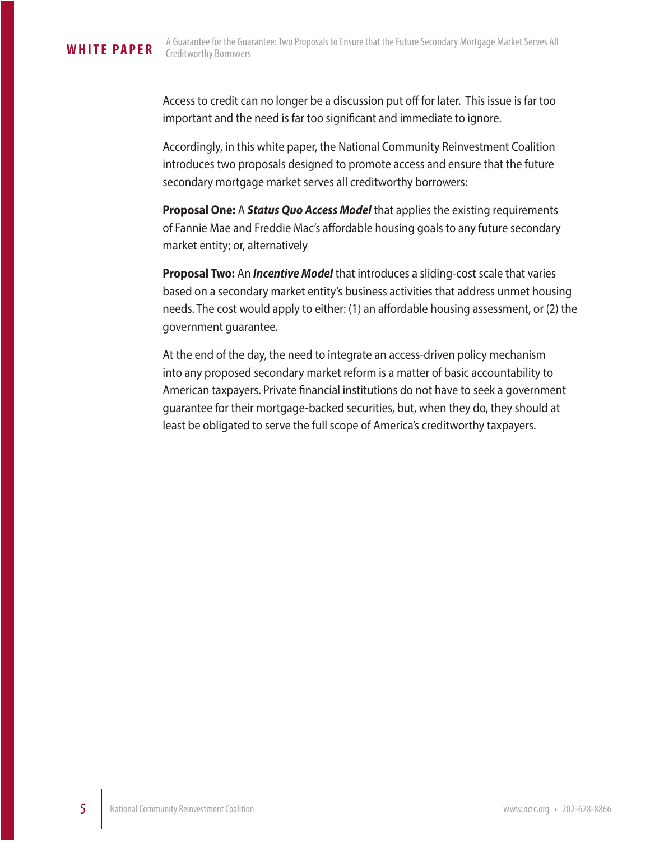### **WHITE PAPER**

Access to credit can no longer be a discussion put off for later. This issue is far too important and the need is far too significant and immediate to ignore.

Accordingly, in this white paper, the National Community Reinvestment Coalition introduces two proposals designed to promote access and ensure that the future secondary mortgage market serves all creditworthy borrowers:

**Proposal One:** A *Status Quo Access Model* that applies the existing requirements of Fannie Mae and Freddie Mac's affordable housing goals to any future secondary market entity; or, alternatively

**Proposal Two:** An *Incentive Model* that introduces a sliding-cost scale that varies based on a secondary market entity's business activities that address unmet housing needs. The cost would apply to either: (1) an affordable housing assessment, or (2) the government guarantee.

At the end of the day, the need to integrate an access-driven policy mechanism into any proposed secondary market reform is a matter of basic accountability to American taxpayers. Private financial institutions do not have to seek a government guarantee for their mortgage-backed securities, but, when they do, they should at least be obligated to serve the full scope of America's creditworthy taxpayers.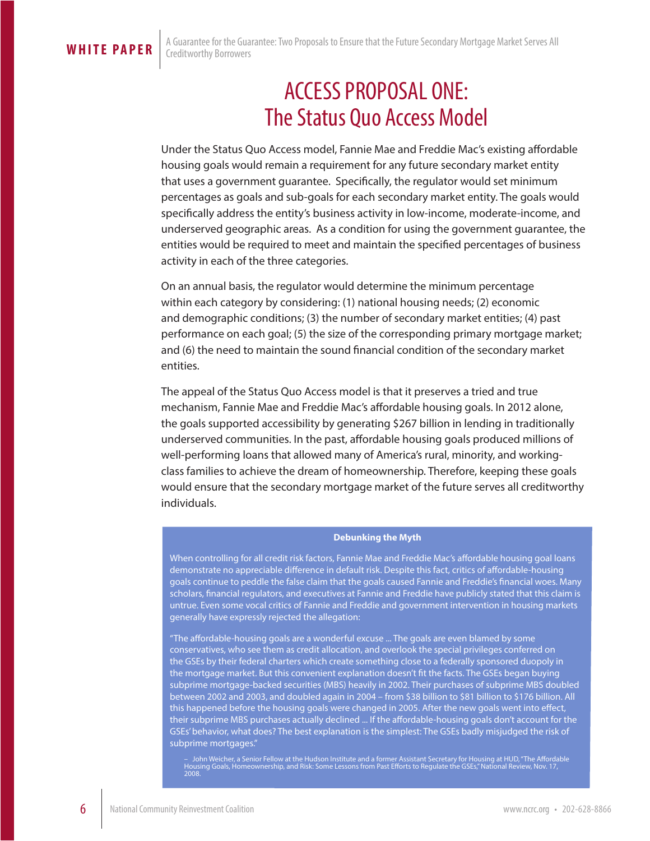## ACCESS PROPOSAL ONE: The Status Quo Access Model

Under the Status Quo Access model, Fannie Mae and Freddie Mac's existing affordable housing goals would remain a requirement for any future secondary market entity that uses a government guarantee. Specifically, the regulator would set minimum percentages as goals and sub-goals for each secondary market entity. The goals would specifically address the entity's business activity in low-income, moderate-income, and underserved geographic areas. As a condition for using the government guarantee, the entities would be required to meet and maintain the specified percentages of business activity in each of the three categories.

On an annual basis, the regulator would determine the minimum percentage within each category by considering: (1) national housing needs; (2) economic and demographic conditions; (3) the number of secondary market entities; (4) past performance on each goal; (5) the size of the corresponding primary mortgage market; and (6) the need to maintain the sound financial condition of the secondary market entities.

The appeal of the Status Quo Access model is that it preserves a tried and true mechanism, Fannie Mae and Freddie Mac's affordable housing goals. In 2012 alone, the goals supported accessibility by generating \$267 billion in lending in traditionally underserved communities. In the past, affordable housing goals produced millions of well-performing loans that allowed many of America's rural, minority, and workingclass families to achieve the dream of homeownership. Therefore, keeping these goals would ensure that the secondary mortgage market of the future serves all creditworthy individuals.

### **Debunking the Myth**

When controlling for all credit risk factors, Fannie Mae and Freddie Mac's affordable housing goal loans demonstrate no appreciable difference in default risk. Despite this fact, critics of affordable-housing goals continue to peddle the false claim that the goals caused Fannie and Freddie's financial woes. Many scholars, financial regulators, and executives at Fannie and Freddie have publicly stated that this claim is untrue. Even some vocal critics of Fannie and Freddie and government intervention in housing markets generally have expressly rejected the allegation:

"The affordable-housing goals are a wonderful excuse ... The goals are even blamed by some conservatives, who see them as credit allocation, and overlook the special privileges conferred on the GSEs by their federal charters which create something close to a federally sponsored duopoly in the mortgage market. But this convenient explanation doesn't fit the facts. The GSEs began buying subprime mortgage-backed securities (MBS) heavily in 2002. Their purchases of subprime MBS doubled between 2002 and 2003, and doubled again in 2004 – from \$38 billion to \$81 billion to \$176 billion. All this happened before the housing goals were changed in 2005. After the new goals went into effect, their subprime MBS purchases actually declined ... If the affordable-housing goals don't account for the GSEs' behavior, what does? The best explanation is the simplest: The GSEs badly misjudged the risk of subprime mortgages."

– John Weicher, a Senior Fellow at the Hudson Institute and a former Assistant Secretary for Housing at HUD, "The Affordable<br>Housing Goals, Homeownership, and Risk: Some Lessons from Past Efforts to Regulate the GSEs," Nat 2008.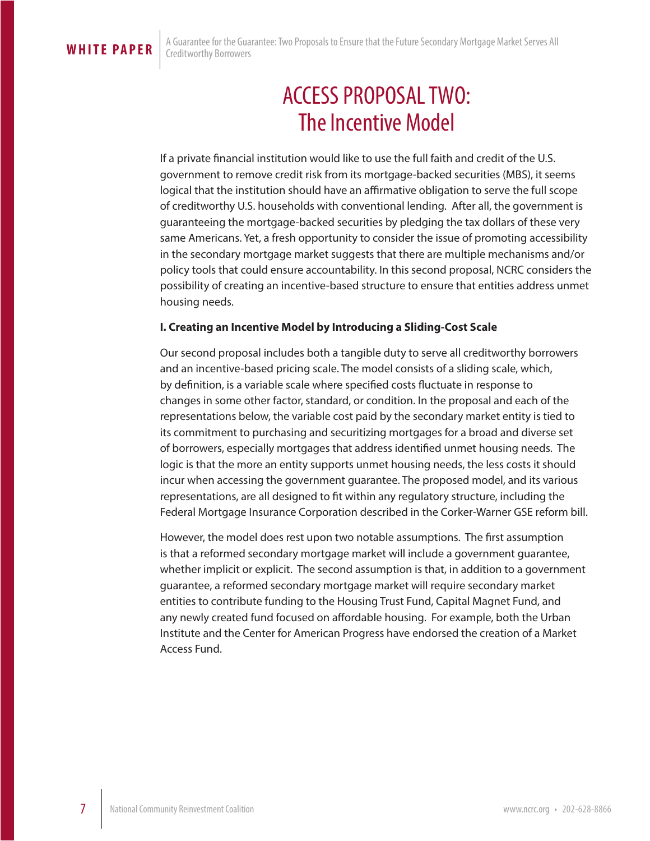## ACCESS PROPOSAL TWO: The Incentive Model

If a private financial institution would like to use the full faith and credit of the U.S. government to remove credit risk from its mortgage-backed securities (MBS), it seems logical that the institution should have an affirmative obligation to serve the full scope of creditworthy U.S. households with conventional lending. After all, the government is guaranteeing the mortgage-backed securities by pledging the tax dollars of these very same Americans. Yet, a fresh opportunity to consider the issue of promoting accessibility in the secondary mortgage market suggests that there are multiple mechanisms and/or policy tools that could ensure accountability. In this second proposal, NCRC considers the possibility of creating an incentive-based structure to ensure that entities address unmet housing needs.

### **I. Creating an Incentive Model by Introducing a Sliding-Cost Scale**

Our second proposal includes both a tangible duty to serve all creditworthy borrowers and an incentive-based pricing scale. The model consists of a sliding scale, which, by definition, is a variable scale where specified costs fluctuate in response to changes in some other factor, standard, or condition. In the proposal and each of the representations below, the variable cost paid by the secondary market entity is tied to its commitment to purchasing and securitizing mortgages for a broad and diverse set of borrowers, especially mortgages that address identified unmet housing needs. The logic is that the more an entity supports unmet housing needs, the less costs it should incur when accessing the government guarantee. The proposed model, and its various representations, are all designed to fit within any regulatory structure, including the Federal Mortgage Insurance Corporation described in the Corker-Warner GSE reform bill.

However, the model does rest upon two notable assumptions. The first assumption is that a reformed secondary mortgage market will include a government guarantee, whether implicit or explicit. The second assumption is that, in addition to a government guarantee, a reformed secondary mortgage market will require secondary market entities to contribute funding to the Housing Trust Fund, Capital Magnet Fund, and any newly created fund focused on affordable housing. For example, both the Urban Institute and the Center for American Progress have endorsed the creation of a Market Access Fund.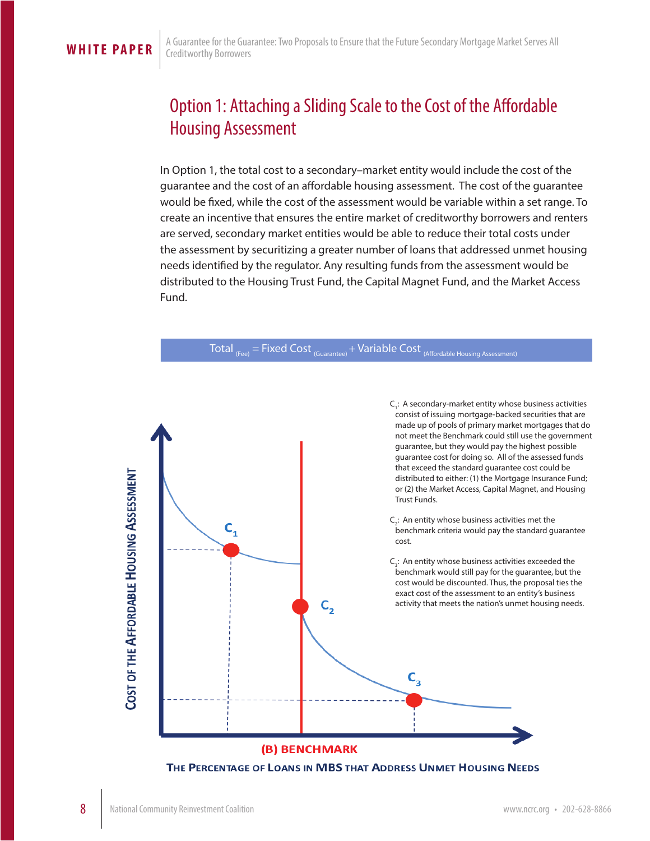## Option 1: Attaching a Sliding Scale to the Cost of the Affordable Housing Assessment

In Option 1, the total cost to a secondary–market entity would include the cost of the guarantee and the cost of an affordable housing assessment. The cost of the guarantee would be fixed, while the cost of the assessment would be variable within a set range. To create an incentive that ensures the entire market of creditworthy borrowers and renters are served, secondary market entities would be able to reduce their total costs under the assessment by securitizing a greater number of loans that addressed unmet housing needs identified by the regulator. Any resulting funds from the assessment would be distributed to the Housing Trust Fund, the Capital Magnet Fund, and the Market Access Fund.



THE PERCENTAGE OF LOANS IN MBS THAT ADDRESS UNMET HOUSING NEEDS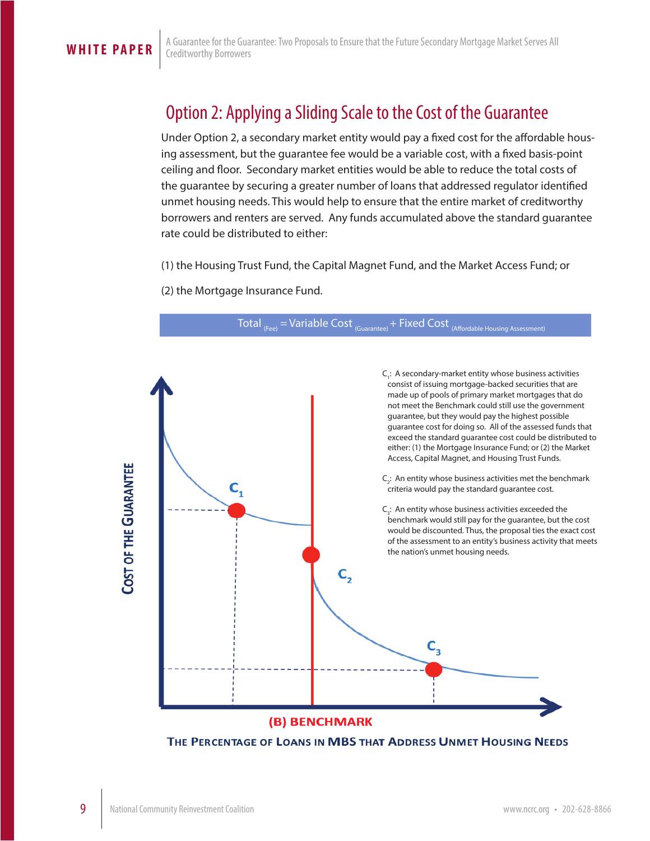## Option 2: Applying a Sliding Scale to the Cost of the Guarantee

Under Option 2, a secondary market entity would pay a fixed cost for the affordable housing assessment, but the guarantee fee would be a variable cost, with a fixed basis-point ceiling and floor. Secondary market entities would be able to reduce the total costs of the guarantee by securing a greater number of loans that addressed regulator identified unmet housing needs. This would help to ensure that the entire market of creditworthy borrowers and renters are served. Any funds accumulated above the standard guarantee rate could be distributed to either:

(1) the Housing Trust Fund, the Capital Magnet Fund, and the Market Access Fund; or

(2) the Mortgage Insurance Fund.



THE PERCENTAGE OF LOANS IN MBS THAT ADDRESS UNMET HOUSING NEEDS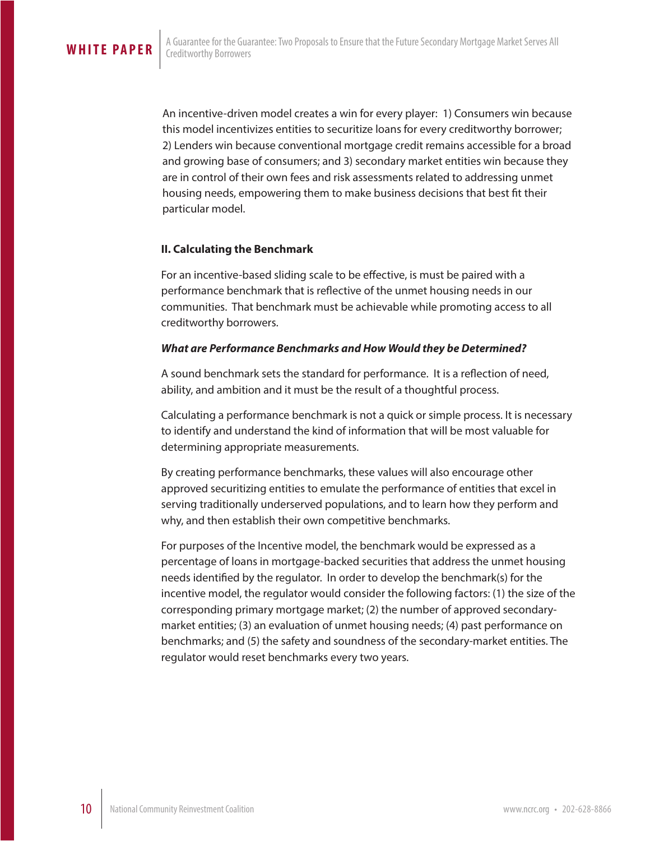An incentive-driven model creates a win for every player: 1) Consumers win because this model incentivizes entities to securitize loans for every creditworthy borrower; 2) Lenders win because conventional mortgage credit remains accessible for a broad and growing base of consumers; and 3) secondary market entities win because they are in control of their own fees and risk assessments related to addressing unmet housing needs, empowering them to make business decisions that best fit their particular model.

### **II. Calculating the Benchmark**

For an incentive-based sliding scale to be effective, is must be paired with a performance benchmark that is reflective of the unmet housing needs in our communities. That benchmark must be achievable while promoting access to all creditworthy borrowers.

### *What are Performance Benchmarks and How Would they be Determined?*

A sound benchmark sets the standard for performance. It is a reflection of need, ability, and ambition and it must be the result of a thoughtful process.

Calculating a performance benchmark is not a quick or simple process. It is necessary to identify and understand the kind of information that will be most valuable for determining appropriate measurements.

By creating performance benchmarks, these values will also encourage other approved securitizing entities to emulate the performance of entities that excel in serving traditionally underserved populations, and to learn how they perform and why, and then establish their own competitive benchmarks.

For purposes of the Incentive model, the benchmark would be expressed as a percentage of loans in mortgage-backed securities that address the unmet housing needs identified by the regulator. In order to develop the benchmark(s) for the incentive model, the regulator would consider the following factors: (1) the size of the corresponding primary mortgage market; (2) the number of approved secondarymarket entities; (3) an evaluation of unmet housing needs; (4) past performance on benchmarks; and (5) the safety and soundness of the secondary-market entities. The regulator would reset benchmarks every two years.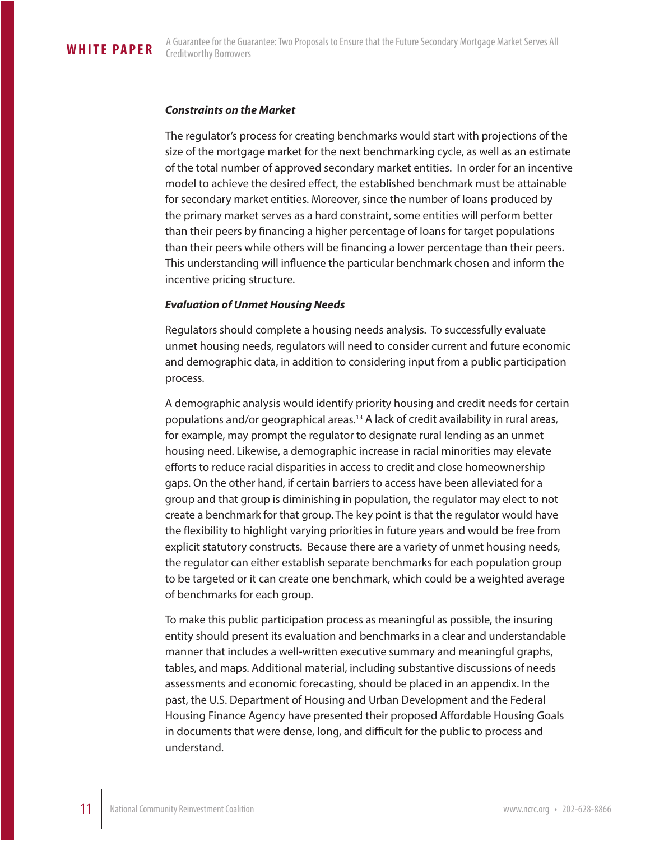### *Constraints on the Market*

The regulator's process for creating benchmarks would start with projections of the size of the mortgage market for the next benchmarking cycle, as well as an estimate of the total number of approved secondary market entities. In order for an incentive model to achieve the desired effect, the established benchmark must be attainable for secondary market entities. Moreover, since the number of loans produced by the primary market serves as a hard constraint, some entities will perform better than their peers by financing a higher percentage of loans for target populations than their peers while others will be financing a lower percentage than their peers. This understanding will influence the particular benchmark chosen and inform the incentive pricing structure.

### *Evaluation of Unmet Housing Needs*

Regulators should complete a housing needs analysis. To successfully evaluate unmet housing needs, regulators will need to consider current and future economic and demographic data, in addition to considering input from a public participation process.

A demographic analysis would identify priority housing and credit needs for certain populations and/or geographical areas.13 A lack of credit availability in rural areas, for example, may prompt the regulator to designate rural lending as an unmet housing need. Likewise, a demographic increase in racial minorities may elevate efforts to reduce racial disparities in access to credit and close homeownership gaps. On the other hand, if certain barriers to access have been alleviated for a group and that group is diminishing in population, the regulator may elect to not create a benchmark for that group. The key point is that the regulator would have the flexibility to highlight varying priorities in future years and would be free from explicit statutory constructs. Because there are a variety of unmet housing needs, the regulator can either establish separate benchmarks for each population group to be targeted or it can create one benchmark, which could be a weighted average of benchmarks for each group.

To make this public participation process as meaningful as possible, the insuring entity should present its evaluation and benchmarks in a clear and understandable manner that includes a well-written executive summary and meaningful graphs, tables, and maps. Additional material, including substantive discussions of needs assessments and economic forecasting, should be placed in an appendix. In the past, the U.S. Department of Housing and Urban Development and the Federal Housing Finance Agency have presented their proposed Affordable Housing Goals in documents that were dense, long, and difficult for the public to process and understand.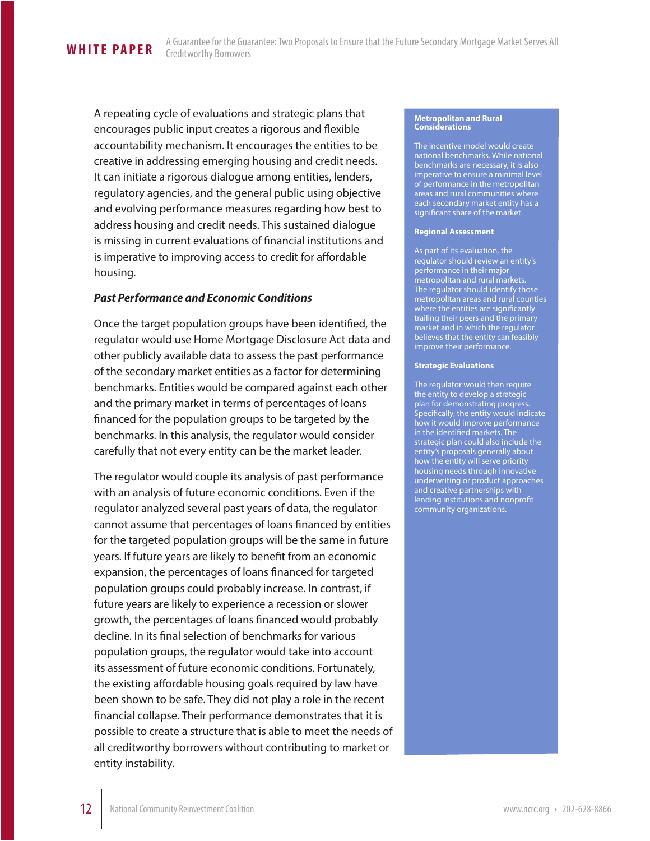**WHITE PAPER** 

A repeating cycle of evaluations and strategic plans that encourages public input creates a rigorous and flexible accountability mechanism. It encourages the entities to be creative in addressing emerging housing and credit needs. It can initiate a rigorous dialogue among entities, lenders, regulatory agencies, and the general public using objective and evolving performance measures regarding how best to address housing and credit needs. This sustained dialogue is missing in current evaluations of financial institutions and is imperative to improving access to credit for affordable housing.

### *Past Performance and Economic Conditions*

Once the target population groups have been identified, the regulator would use Home Mortgage Disclosure Act data and other publicly available data to assess the past performance of the secondary market entities as a factor for determining benchmarks. Entities would be compared against each other and the primary market in terms of percentages of loans financed for the population groups to be targeted by the benchmarks. In this analysis, the regulator would consider carefully that not every entity can be the market leader.

The regulator would couple its analysis of past performance with an analysis of future economic conditions. Even if the regulator analyzed several past years of data, the regulator cannot assume that percentages of loans financed by entities for the targeted population groups will be the same in future years. If future years are likely to benefit from an economic expansion, the percentages of loans financed for targeted population groups could probably increase. In contrast, if future years are likely to experience a recession or slower growth, the percentages of loans financed would probably decline. In its final selection of benchmarks for various population groups, the regulator would take into account its assessment of future economic conditions. Fortunately, the existing affordable housing goals required by law have been shown to be safe. They did not play a role in the recent financial collapse. Their performance demonstrates that it is possible to create a structure that is able to meet the needs of all creditworthy borrowers without contributing to market or entity instability.

#### **Metropolitan and Rural Considerations**

The incentive model would create national benchmarks. While national benchmarks are necessary, it is also imperative to ensure a minimal level of performance in the metropolitan areas and rural communities where each secondary market entity has a significant share of the market.

### **Regional Assessment**

As part of its evaluation, the regulator should review an entity's performance in their major metropolitan and rural markets. The regulator should identify those metropolitan areas and rural counties where the entities are significantly trailing their peers and the primary market and in which the regulator believes that the entity can feasibly improve their performance.

### **Strategic Evaluations**

The regulator would then require the entity to develop a strategic plan for demonstrating progress. Specifically, the entity would indicate how it would improve performance in the identified markets. The strategic plan could also include the entity's proposals generally about how the entity will serve priority housing needs through innovative underwriting or product approaches and creative partnerships with lending institutions and nonprofit community organizations.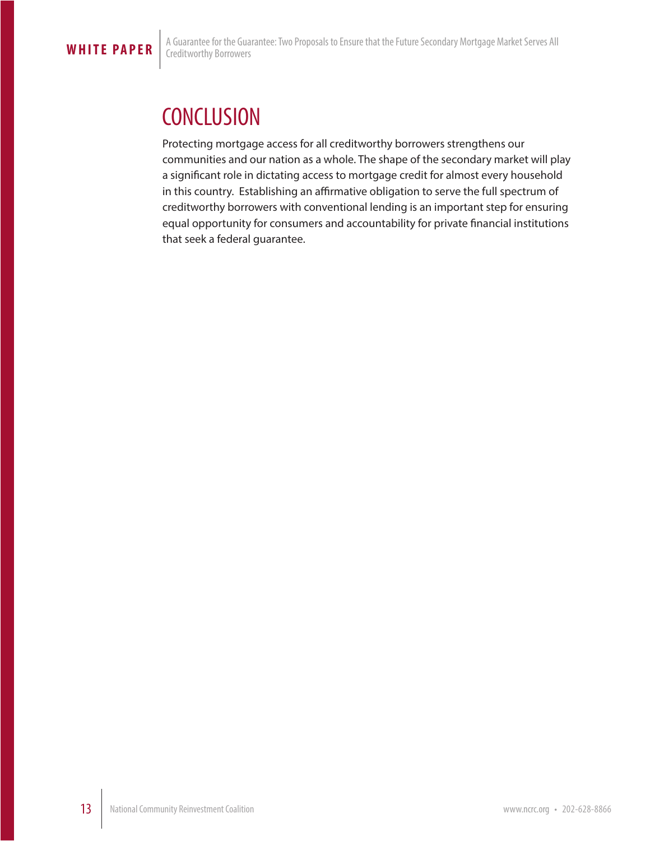## **CONCLUSION**

Protecting mortgage access for all creditworthy borrowers strengthens our communities and our nation as a whole. The shape of the secondary market will play a significant role in dictating access to mortgage credit for almost every household in this country. Establishing an affirmative obligation to serve the full spectrum of creditworthy borrowers with conventional lending is an important step for ensuring equal opportunity for consumers and accountability for private financial institutions that seek a federal guarantee.